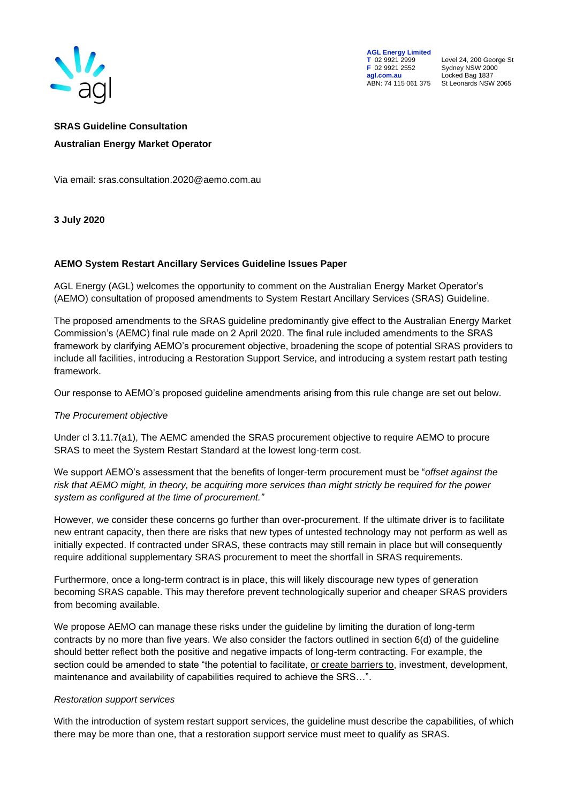

**AGL Energy Limited**<br> **T** 02 9921 2999<br> **F** 02 9921 2552 **F** 02 9921 2552 Sydney NSW 2000 **agl.com.au** Locked Bag 1837

**T** 02 9921 2999 Level 24, 200 George St ABN: 74 115 061 375 St Leonards NSW 2065

# **SRAS Guideline Consultation Australian Energy Market Operator**

Via email: sras.consultation.2020@aemo.com.au

**3 July 2020**

## **AEMO System Restart Ancillary Services Guideline Issues Paper**

AGL Energy (AGL) welcomes the opportunity to comment on the Australian Energy Market Operator's (AEMO) consultation of proposed amendments to System Restart Ancillary Services (SRAS) Guideline.

The proposed amendments to the SRAS guideline predominantly give effect to the Australian Energy Market Commission's (AEMC) final rule made on 2 April 2020. The final rule included amendments to the SRAS framework by clarifying AEMO's procurement objective, broadening the scope of potential SRAS providers to include all facilities, introducing a Restoration Support Service, and introducing a system restart path testing framework.

Our response to AEMO's proposed guideline amendments arising from this rule change are set out below.

### *The Procurement objective*

Under cl 3.11.7(a1), The AEMC amended the SRAS procurement objective to require AEMO to procure SRAS to meet the System Restart Standard at the lowest long-term cost.

We support AEMO's assessment that the benefits of longer-term procurement must be "*offset against the risk that AEMO might, in theory, be acquiring more services than might strictly be required for the power system as configured at the time of procurement."* 

However, we consider these concerns go further than over-procurement. If the ultimate driver is to facilitate new entrant capacity, then there are risks that new types of untested technology may not perform as well as initially expected. If contracted under SRAS, these contracts may still remain in place but will consequently require additional supplementary SRAS procurement to meet the shortfall in SRAS requirements.

Furthermore, once a long-term contract is in place, this will likely discourage new types of generation becoming SRAS capable. This may therefore prevent technologically superior and cheaper SRAS providers from becoming available.

We propose AEMO can manage these risks under the guideline by limiting the duration of long-term contracts by no more than five years. We also consider the factors outlined in section 6(d) of the guideline should better reflect both the positive and negative impacts of long-term contracting. For example, the section could be amended to state "the potential to facilitate, or create barriers to, investment, development, maintenance and availability of capabilities required to achieve the SRS…".

### *Restoration support services*

With the introduction of system restart support services, the guideline must describe the capabilities, of which there may be more than one, that a restoration support service must meet to qualify as SRAS.